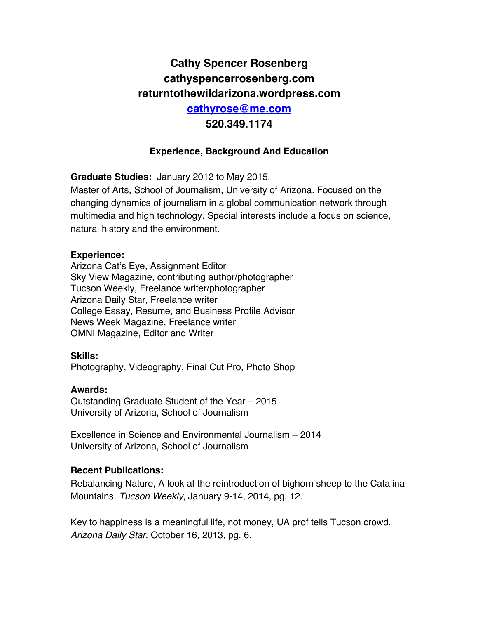# **Cathy Spencer Rosenberg cathyspencerrosenberg.com returntothewildarizona.wordpress.com cathyrose@me.com 520.349.1174**

### **Experience, Background And Education**

**Graduate Studies:** January 2012 to May 2015.

Master of Arts, School of Journalism, University of Arizona. Focused on the changing dynamics of journalism in a global communication network through multimedia and high technology. Special interests include a focus on science, natural history and the environment.

#### **Experience:**

Arizona Cat's Eye, Assignment Editor Sky View Magazine, contributing author/photographer Tucson Weekly, Freelance writer/photographer Arizona Daily Star, Freelance writer College Essay, Resume, and Business Profile Advisor News Week Magazine, Freelance writer OMNI Magazine, Editor and Writer

#### **Skills:**

Photography, Videography, Final Cut Pro, Photo Shop

#### **Awards:**

Outstanding Graduate Student of the Year – 2015 University of Arizona, School of Journalism

Excellence in Science and Environmental Journalism – 2014 University of Arizona, School of Journalism

### **Recent Publications:**

Rebalancing Nature, A look at the reintroduction of bighorn sheep to the Catalina Mountains. *Tucson Weekly*, January 9-14, 2014, pg. 12.

Key to happiness is a meaningful life, not money, UA prof tells Tucson crowd. *Arizona Daily Star,* October 16, 2013, pg. 6.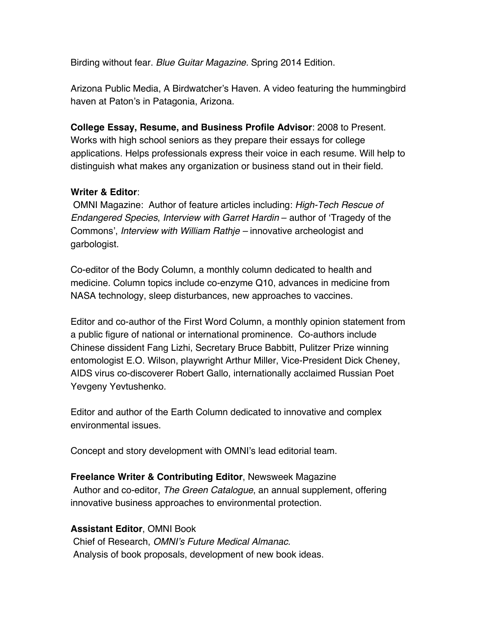Birding without fear. *Blue Guitar Magazine.* Spring 2014 Edition.

Arizona Public Media, A Birdwatcher's Haven. A video featuring the hummingbird haven at Paton's in Patagonia, Arizona.

**College Essay, Resume, and Business Profile Advisor**: 2008 to Present. Works with high school seniors as they prepare their essays for college applications. Helps professionals express their voice in each resume. Will help to distinguish what makes any organization or business stand out in their field.

# **Writer & Editor**:

OMNI Magazine: Author of feature articles including: *High-Tech Rescue of Endangered Species*, *Interview with Garret Hardin* – author of 'Tragedy of the Commons', *Interview with William Rathje –* innovative archeologist and garbologist.

Co-editor of the Body Column, a monthly column dedicated to health and medicine. Column topics include co-enzyme Q10, advances in medicine from NASA technology, sleep disturbances, new approaches to vaccines.

Editor and co-author of the First Word Column, a monthly opinion statement from a public figure of national or international prominence. Co-authors include Chinese dissident Fang Lizhi, Secretary Bruce Babbitt, Pulitzer Prize winning entomologist E.O. Wilson, playwright Arthur Miller, Vice-President Dick Cheney, AIDS virus co-discoverer Robert Gallo, internationally acclaimed Russian Poet Yevgeny Yevtushenko.

Editor and author of the Earth Column dedicated to innovative and complex environmental issues.

Concept and story development with OMNI's lead editorial team.

**Freelance Writer & Contributing Editor**, Newsweek Magazine Author and co-editor, *The Green Catalogue*, an annual supplement, offering innovative business approaches to environmental protection.

# **Assistant Editor**, OMNI Book

Chief of Research, *OMNI's Future Medical Almanac.* Analysis of book proposals, development of new book ideas.